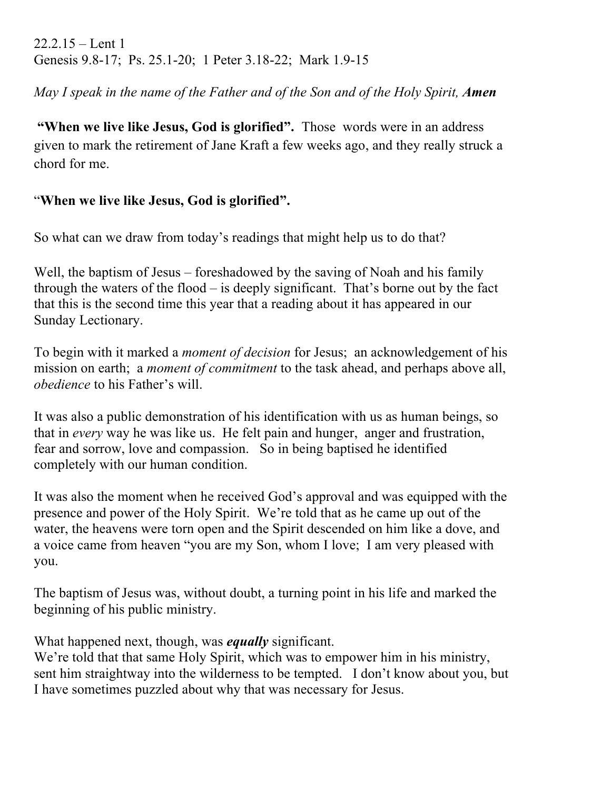$22.2.15 -$ Lent 1 Genesis 9.8-17; Ps. 25.1-20; 1 Peter 3.18-22; Mark 1.9-15

*May I speak in the name of the Father and of the Son and of the Holy Spirit, Amen* 

**"When we live like Jesus, God is glorified".** Those words were in an address given to mark the retirement of Jane Kraft a few weeks ago, and they really struck a chord for me.

## "**When we live like Jesus, God is glorified".**

So what can we draw from today's readings that might help us to do that?

Well, the baptism of Jesus – foreshadowed by the saving of Noah and his family through the waters of the flood – is deeply significant. That's borne out by the fact that this is the second time this year that a reading about it has appeared in our Sunday Lectionary.

To begin with it marked a *moment of decision* for Jesus; an acknowledgement of his mission on earth; a *moment of commitment* to the task ahead, and perhaps above all, *obedience* to his Father's will.

It was also a public demonstration of his identification with us as human beings, so that in *every* way he was like us. He felt pain and hunger, anger and frustration, fear and sorrow, love and compassion. So in being baptised he identified completely with our human condition.

It was also the moment when he received God's approval and was equipped with the presence and power of the Holy Spirit. We're told that as he came up out of the water, the heavens were torn open and the Spirit descended on him like a dove, and a voice came from heaven "you are my Son, whom I love; I am very pleased with you.

The baptism of Jesus was, without doubt, a turning point in his life and marked the beginning of his public ministry.

What happened next, though, was *equally* significant.

We're told that that same Holy Spirit, which was to empower him in his ministry, sent him straightway into the wilderness to be tempted. I don't know about you, but I have sometimes puzzled about why that was necessary for Jesus.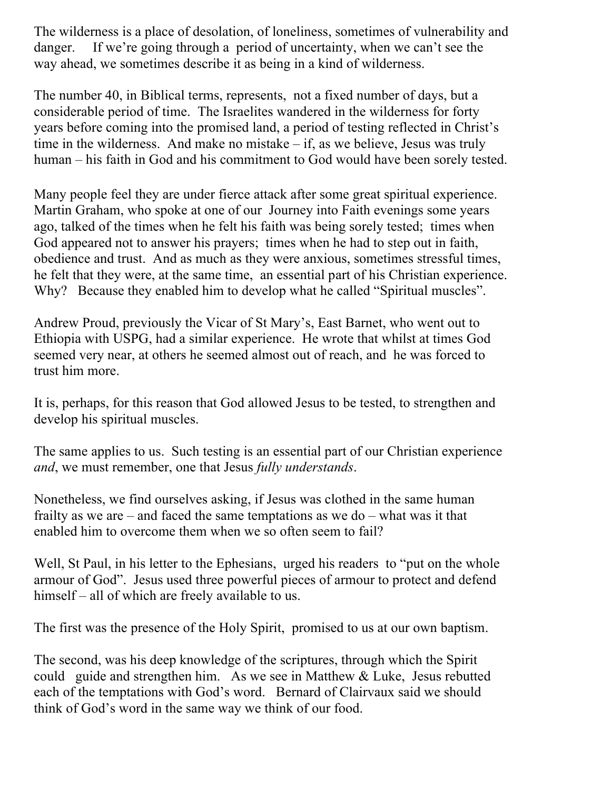The wilderness is a place of desolation, of loneliness, sometimes of vulnerability and danger. If we're going through a period of uncertainty, when we can't see the way ahead, we sometimes describe it as being in a kind of wilderness.

The number 40, in Biblical terms, represents, not a fixed number of days, but a considerable period of time. The Israelites wandered in the wilderness for forty years before coming into the promised land, a period of testing reflected in Christ's time in the wilderness. And make no mistake – if, as we believe, Jesus was truly human – his faith in God and his commitment to God would have been sorely tested.

Many people feel they are under fierce attack after some great spiritual experience. Martin Graham, who spoke at one of our Journey into Faith evenings some years ago, talked of the times when he felt his faith was being sorely tested; times when God appeared not to answer his prayers; times when he had to step out in faith, obedience and trust. And as much as they were anxious, sometimes stressful times, he felt that they were, at the same time, an essential part of his Christian experience. Why? Because they enabled him to develop what he called "Spiritual muscles".

Andrew Proud, previously the Vicar of St Mary's, East Barnet, who went out to Ethiopia with USPG, had a similar experience. He wrote that whilst at times God seemed very near, at others he seemed almost out of reach, and he was forced to trust him more.

It is, perhaps, for this reason that God allowed Jesus to be tested, to strengthen and develop his spiritual muscles.

The same applies to us. Such testing is an essential part of our Christian experience *and*, we must remember, one that Jesus *fully understands*.

Nonetheless, we find ourselves asking, if Jesus was clothed in the same human frailty as we are – and faced the same temptations as we do – what was it that enabled him to overcome them when we so often seem to fail?

Well, St Paul, in his letter to the Ephesians, urged his readers to "put on the whole armour of God". Jesus used three powerful pieces of armour to protect and defend himself – all of which are freely available to us.

The first was the presence of the Holy Spirit, promised to us at our own baptism.

The second, was his deep knowledge of the scriptures, through which the Spirit could guide and strengthen him. As we see in Matthew & Luke, Jesus rebutted each of the temptations with God's word. Bernard of Clairvaux said we should think of God's word in the same way we think of our food.